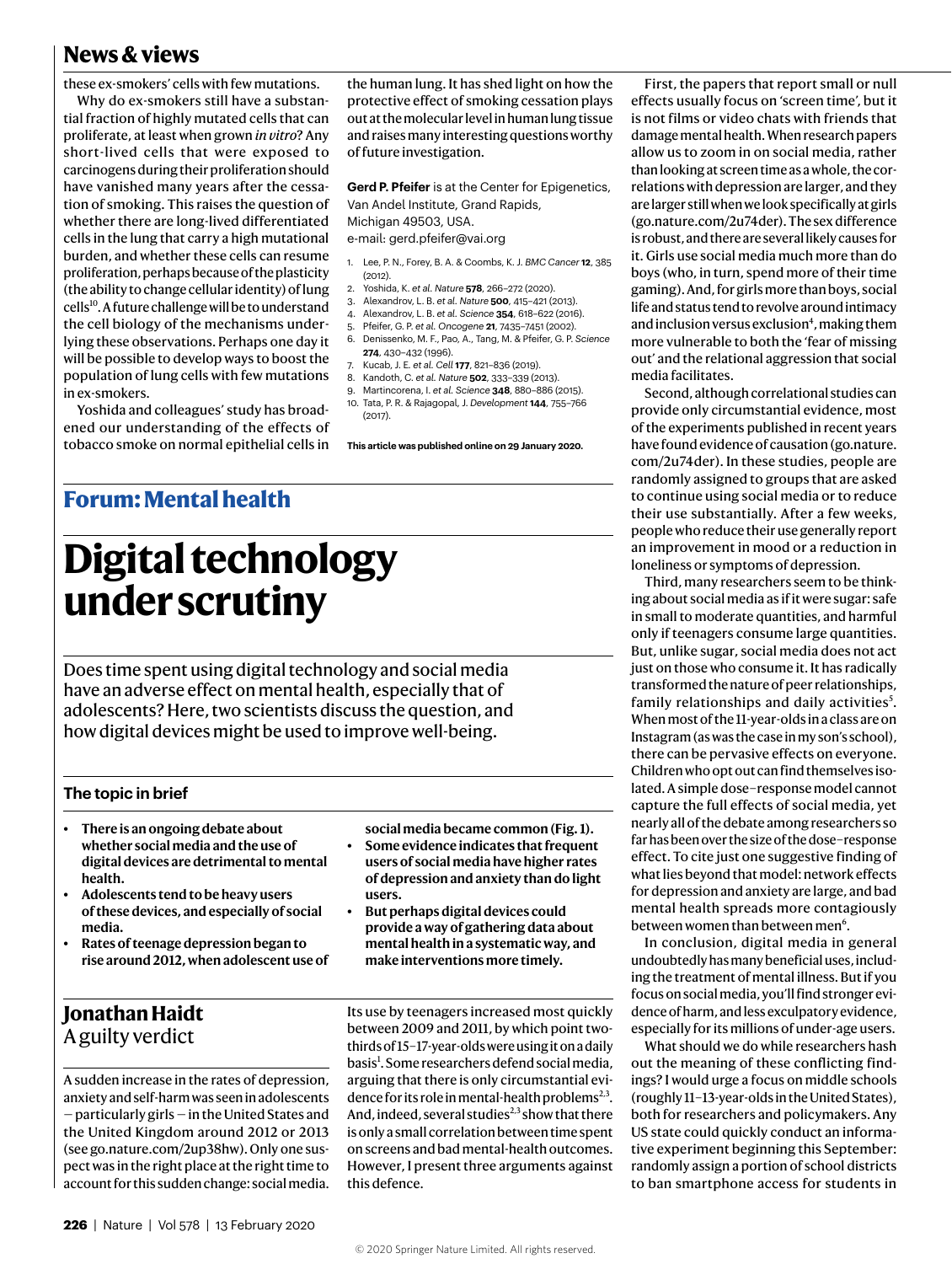# **News & views**

these ex-smokers' cells with few mutations.

Why do ex-smokers still have a substantial fraction of highly mutated cells that can proliferate, at least when grown *in vitro*? Any short-lived cells that were exposed to carcinogens during their proliferation should have vanished many years after the cessation of smoking. This raises the question of whether there are long-lived differentiated cells in the lung that carry a high mutational burden, and whether these cells can resume proliferation, perhaps because of the plasticity (the ability to change cellular identity) of lung cells<sup>10</sup>. A future challenge will be to understand the cell biology of the mechanisms underlying these observations. Perhaps one day it will be possible to develop ways to boost the population of lung cells with few mutations in ex-smokers.

Yoshida and colleagues' study has broadened our understanding of the effects of tobacco smoke on normal epithelial cells in

the human lung. It has shed light on how the protective effect of smoking cessation plays out at the molecular level in human lung tissue and raises many interesting questions worthy of future investigation.

**Gerd P. Pfeifer** is at the Center for Epigenetics, Van Andel Institute, Grand Rapids, Michigan 49503, USA.

e-mail: gerd.pfeifer@vai.org

- 1. Lee, P. N., Forey, B. A. & Coombs, K. J. *BMC Cancer* **12**, 385  $(2012)$
- 2. Yoshida, K. *et al. Nature* **578**, 266–272 (2020).
- 3. Alexandrov, L. B. *et al. Nature* **500**, 415–421 (2013).
- 4. Alexandrov, L. B. *et al. Science* **354**, 618–622 (2016).
- 5. Pfeifer, G. P. *et al. Oncogene* **21**, 7435–7451 (2002). 6. Denissenko, M. F., Pao, A., Tang, M. & Pfeifer, G. P. *Science* **274**, 430–432 (1996).
- 7. Kucab, J. E*. et al. Cell* **177**, 821–836 (2019).
- 8. Kandoth, C. *et al. Nature* **502**, 333–339 (2013).
- 9. Martincorena, I. *et al. Science* **348**, 880–886 (2015). 10. Tata, P. R. & Rajagopal, J. *Development* **144**, 755–766 (2017).

**This article was published online on 29 January 2020.**

## **Forum: Mental health**

# **Digital technology under scrutiny**

Does time spent using digital technology and social media have an adverse effect on mental health, especially that of adolescents? Here, two scientists discuss the question, and how digital devices might be used to improve well-being.

#### **The topic in brief**

- **• There is an ongoing debate about whether social media and the use of digital devices are detrimental to mental health.**
- **• Adolescents tend to be heavy users of these devices, and especially of social media.**
- **• Rates of teenage depression began to rise around 2012, when adolescent use of**

## **Jonathan Haidt** A guilty verdict

A sudden increase in the rates of depression, anxiety and self-harm was seen in adolescents — particularly girls — in the United States and the United Kingdom around 2012 or 2013 (see go.nature.com/2up38hw). Only one suspect was in the right place at the right time to account for this sudden change: social media.

**social media became common (Fig. 1).**

- **• Some evidence indicates that frequent users of social media have higher rates of depression and anxiety than do light users.**
- **• But perhaps digital devices could provide a way of gathering data about mental health in a systematic way, and make interventions more timely.**

Its use by teenagers increased most quickly between 2009 and 2011, by which point twothirds of 15–17-year-olds were using it on a daily basis<sup>1</sup>. Some researchers defend social media, arguing that there is only circumstantial evidence for its role in mental-health problems<sup>2,3</sup>. And, indeed, several studies<sup>2,3</sup> show that there is only a small correlation between time spent on screens and bad mental-health outcomes. However, I present three arguments against this defence.

First, the papers that report small or null effects usually focus on 'screen time', but it is not films or video chats with friends that damage mental health. When research papers allow us to zoom in on social media, rather than looking at screen time as a whole, the correlations with depression are larger, and they are larger still when we look specifically at girls (go.nature.com/2u74der). The sex difference is robust, and there are several likely causes for it. Girls use social media much more than do boys (who, in turn, spend more of their time gaming). And, for girls more than boys, social life and status tend to revolve around intimacy and inclusion versus exclusion<sup>4</sup>, making them more vulnerable to both the 'fear of missing out' and the relational aggression that social media facilitates.

Second, although correlational studies can provide only circumstantial evidence, most of the experiments published in recent years have found evidence of causation (go.nature. com/2u74der). In these studies, people are randomly assigned to groups that are asked to continue using social media or to reduce their use substantially. After a few weeks, people who reduce their use generally report an improvement in mood or a reduction in loneliness or symptoms of depression.

Third, many researchers seem to be thinking about social media as if it were sugar: safe in small to moderate quantities, and harmful only if teenagers consume large quantities. But, unlike sugar, social media does not act just on those who consume it. It has radically transformed the nature of peer relationships, family relationships and daily activities<sup>5</sup>. When most of the 11-year-olds in a class are on Instagram (as was the case in my son's school), there can be pervasive effects on everyone. Children who opt out can find themselves isolated. A simple dose–response model cannot capture the full effects of social media, yet nearly all of the debate among researchers so far has been over the size of the dose–response effect. To cite just one suggestive finding of what lies beyond that model: network effects for depression and anxiety are large, and bad mental health spreads more contagiously between women than between men<sup>6</sup>.

In conclusion, digital media in general undoubtedly has many beneficial uses, including the treatment of mental illness. But if you focus on social media, you'll find stronger evidence of harm, and less exculpatory evidence, especially for its millions of under-age users.

What should we do while researchers hash out the meaning of these conflicting findings? I would urge a focus on middle schools (roughly 11–13-year-olds in the United States), both for researchers and policymakers. Any US state could quickly conduct an informative experiment beginning this September: randomly assign a portion of school districts to ban smartphone access for students in